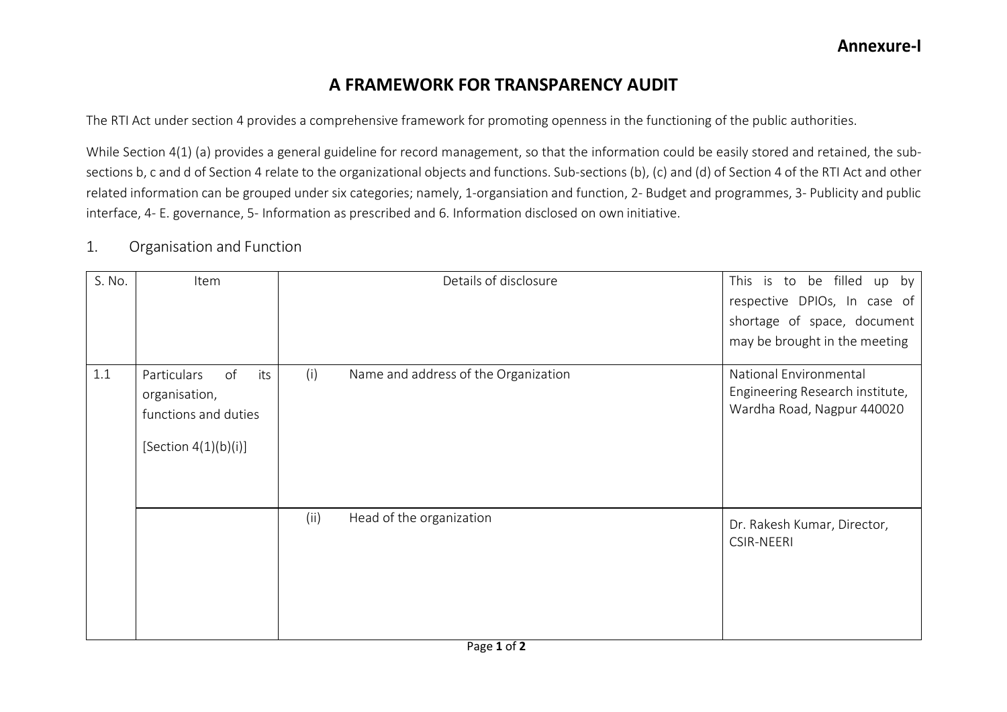## **A FRAMEWORK FOR TRANSPARENCY AUDIT**

The RTI Act under section 4 provides a comprehensive framework for promoting openness in the functioning of the public authorities.

While Section 4(1) (a) provides a general guideline for record management, so that the information could be easily stored and retained, the subsections b, c and d of Section 4 relate to the organizational objects and functions. Sub-sections (b), (c) and (d) of Section 4 of the RTI Act and other related information can be grouped under six categories; namely, 1-organsiation and function, 2- Budget and programmes, 3- Publicity and public interface, 4- E. governance, 5- Information as prescribed and 6. Information disclosed on own initiative.

## 1. Organisation and Function

| S. No. | Item                                                                                         |      | Details of disclosure                | This is to be filled up by<br>respective DPIOs, In case of<br>shortage of space, document<br>may be brought in the meeting |
|--------|----------------------------------------------------------------------------------------------|------|--------------------------------------|----------------------------------------------------------------------------------------------------------------------------|
| 1.1    | of<br>its<br>Particulars<br>organisation,<br>functions and duties<br>[Section $4(1)(b)(i)$ ] | (i)  | Name and address of the Organization | National Environmental<br>Engineering Research institute,<br>Wardha Road, Nagpur 440020                                    |
|        |                                                                                              | (ii) | Head of the organization             | Dr. Rakesh Kumar, Director,<br><b>CSIR-NEERI</b>                                                                           |